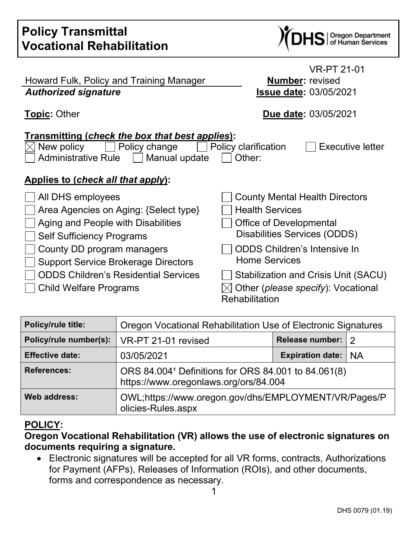| <b>Policy Transmittal</b><br><b>Vocational Rehabilitation</b>                                                                                                                                                    | S   Oregon Department<br>S   of Human Services                                                                                                                                                   |
|------------------------------------------------------------------------------------------------------------------------------------------------------------------------------------------------------------------|--------------------------------------------------------------------------------------------------------------------------------------------------------------------------------------------------|
| Howard Fulk, Policy and Training Manager<br><b>Authorized signature</b>                                                                                                                                          | <b>VR-PT 21-01</b><br><b>Number: revised</b><br><b>Issue date: 03/05/2021</b>                                                                                                                    |
| <b>Topic: Other</b>                                                                                                                                                                                              | Due date: 03/05/2021                                                                                                                                                                             |
| <b>Transmitting (check the box that best applies):</b><br>New policy<br>Policy change<br>Administrative Rule     Manual update<br>Applies to (check all that apply):                                             | Policy clarification<br>Executive letter<br>Other:                                                                                                                                               |
| All DHS employees<br>Area Agencies on Aging: {Select type}<br>Aging and People with Disabilities<br><b>Self Sufficiency Programs</b><br>County DD program managers<br><b>Support Service Brokerage Directors</b> | <b>County Mental Health Directors</b><br><b>Health Services</b><br><b>Office of Developmental</b><br>Disabilities Services (ODDS)<br><b>ODDS Children's Intensive In</b><br><b>Home Services</b> |
| <b>ODDS Children's Residential Services</b><br>Child Welfare Programs                                                                                                                                            | Stabilization and Crisis Unit (SACU)<br>Other (please specify): Vocational                                                                                                                       |

| Rehabilitation |  |
|----------------|--|
|----------------|--|

| Policy/rule title:     | Oregon Vocational Rehabilitation Use of Electronic Signatures                                |                       |  |
|------------------------|----------------------------------------------------------------------------------------------|-----------------------|--|
| Policy/rule number(s): | VR-PT 21-01 revised                                                                          | Release number: 2     |  |
| <b>Effective date:</b> | 03/05/2021                                                                                   | Expiration date:   NA |  |
| <b>References:</b>     | ORS 84.0041 Definitions for ORS 84.001 to 84.061(8)<br>https://www.oregonlaws.org/ors/84.004 |                       |  |
| Web address:           | OWL;https://www.oregon.gov/dhs/EMPLOYMENT/VR/Pages/P<br>olicies-Rules.aspx                   |                       |  |

## **POLICY:**

## **Oregon Vocational Rehabilitation (VR) allows the use of electronic signatures on documents requiring a signature.**

• Electronic signatures will be accepted for all VR forms, contracts, Authorizations for Payment (AFPs), Releases of Information (ROIs), and other documents, forms and correspondence as necessary.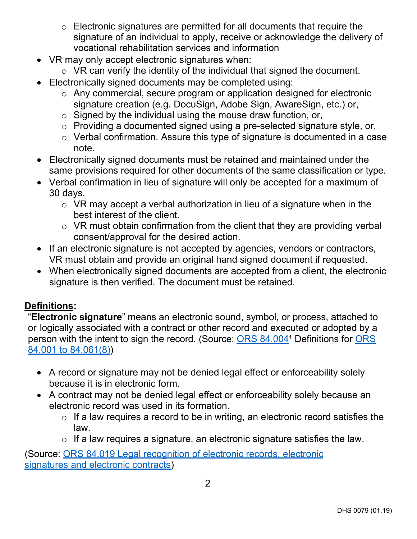- o Electronic signatures are permitted for all documents that require the signature of an individual to apply, receive or acknowledge the delivery of vocational rehabilitation services and information
- VR may only accept electronic signatures when:
	- $\circ$  VR can verify the identity of the individual that signed the document.
- Electronically signed documents may be completed using:
	- o Any commercial, secure program or application designed for electronic signature creation (e.g. DocuSign, Adobe Sign, AwareSign, etc.) or,
	- $\circ$  Signed by the individual using the mouse draw function, or,
	- o Providing a documented signed using a pre-selected signature style, or,
	- o Verbal confirmation. Assure this type of signature is documented in a case note.
- Electronically signed documents must be retained and maintained under the same provisions required for other documents of the same classification or type.
- Verbal confirmation in lieu of signature will only be accepted for a maximum of 30 days.
	- o VR may accept a verbal authorization in lieu of a signature when in the best interest of the client.
	- o VR must obtain confirmation from the client that they are providing verbal consent/approval for the desired action.
- If an electronic signature is not accepted by agencies, vendors or contractors, VR must obtain and provide an original hand signed document if requested.
- When electronically signed documents are accepted from a client, the electronic signature is then verified. The document must be retained.

## **Definitions:**

"**Electronic signature**" means an electronic sound, symbol, or process, attached to or logically associated with a contract or other record and executed or adopted by a person with the intent to sign the record. (Source: [ORS](https://www.oregonlaws.org/ors/84.004) 84.004<sup>1</sup> Definitions for ORS 84.001 to [84.061\(8\)\)](https://www.oregonlaws.org/ors/84.004)

- A record or signature may not be denied legal effect or enforceability solely because it is in electronic form.
- A contract may not be denied legal effect or enforceability solely because an electronic record was used in its formation.
	- $\circ$  If a law requires a record to be in writing, an electronic record satisfies the law.
	- $\circ$  If a law requires a signature, an electronic signature satisfies the [law.](https://www.oregonlaws.org/ors/84.019)

(Source: ORS 84.019 Legal recognition [of electronic](https://www.oregonlaws.org/ors/84.019) records, electronic [signatures](https://www.oregonlaws.org/ors/84.019) and electronic contracts)